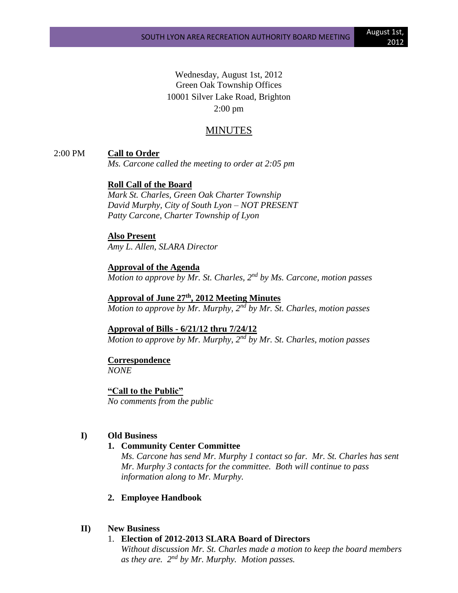Wednesday, August 1st, 2012 Green Oak Township Offices 10001 Silver Lake Road, Brighton 2:00 pm

# MINUTES

2:00 PM **Call to Order**

*Ms. Carcone called the meeting to order at 2:05 pm*

# **Roll Call of the Board**

*Mark St. Charles, Green Oak Charter Township David Murphy, City of South Lyon – NOT PRESENT Patty Carcone, Charter Township of Lyon*

**Also Present**

*Amy L. Allen, SLARA Director*

**Approval of the Agenda** *Motion to approve by Mr. St. Charles, 2nd by Ms. Carcone, motion passes*

**Approval of June 27 th , 2012 Meeting Minutes** *Motion to approve by Mr. Murphy, 2nd by Mr. St. Charles, motion passes*

**Approval of Bills - 6/21/12 thru 7/24/12** *Motion to approve by Mr. Murphy, 2nd by Mr. St. Charles, motion passes*

# **Correspondence**

*NONE*

**"Call to the Public"** *No comments from the public*

#### **I) Old Business**

#### **1. Community Center Committee**

*Ms. Carcone has send Mr. Murphy 1 contact so far. Mr. St. Charles has sent Mr. Murphy 3 contacts for the committee. Both will continue to pass information along to Mr. Murphy.*

### **2. Employee Handbook**

# **II) New Business**

#### 1. **Election of 2012-2013 SLARA Board of Directors**

*Without discussion Mr. St. Charles made a motion to keep the board members as they are. 2nd by Mr. Murphy. Motion passes.*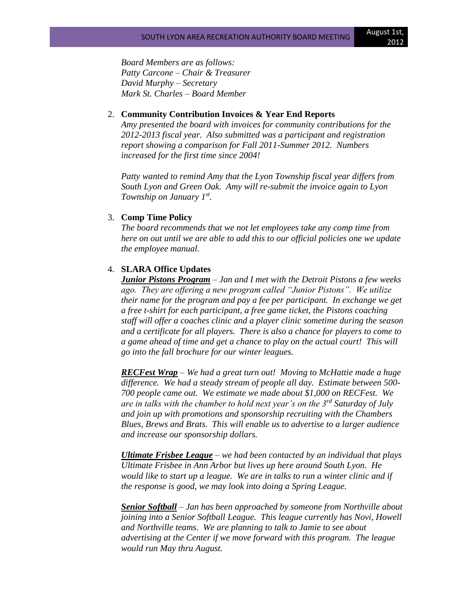*Board Members are as follows: Patty Carcone – Chair & Treasurer David Murphy – Secretary Mark St. Charles – Board Member*

#### 2. **Community Contribution Invoices & Year End Reports**

*Amy presented the board with invoices for community contributions for the 2012-2013 fiscal year. Also submitted was a participant and registration report showing a comparison for Fall 2011-Summer 2012. Numbers increased for the first time since 2004!*

*Patty wanted to remind Amy that the Lyon Township fiscal year differs from South Lyon and Green Oak. Amy will re-submit the invoice again to Lyon Township on January 1st .*

### 3. **Comp Time Policy**

*The board recommends that we not let employees take any comp time from here on out until we are able to add this to our official policies one we update the employee manual.*

# 4. **SLARA Office Updates**

*Junior Pistons Program – Jan and I met with the Detroit Pistons a few weeks ago. They are offering a new program called "Junior Pistons". We utilize their name for the program and pay a fee per participant. In exchange we get a free t-shirt for each participant, a free game ticket, the Pistons coaching staff will offer a coaches clinic and a player clinic sometime during the season and a certificate for all players. There is also a chance for players to come to a game ahead of time and get a chance to play on the actual court! This will go into the fall brochure for our winter leagues.*

*RECFest Wrap – We had a great turn out! Moving to McHattie made a huge difference. We had a steady stream of people all day. Estimate between 500- 700 people came out. We estimate we made about \$1,000 on RECFest. We are in talks with the chamber to hold next year's on the 3rd Saturday of July and join up with promotions and sponsorship recruiting with the Chambers Blues, Brews and Brats. This will enable us to advertise to a larger audience and increase our sponsorship dollars.*

*Ultimate Frisbee League – we had been contacted by an individual that plays Ultimate Frisbee in Ann Arbor but lives up here around South Lyon. He would like to start up a league. We are in talks to run a winter clinic and if the response is good, we may look into doing a Spring League.*

*Senior Softball – Jan has been approached by someone from Northville about joining into a Senior Softball League. This league currently has Novi, Howell and Northville teams. We are planning to talk to Jamie to see about advertising at the Center if we move forward with this program. The league would run May thru August.*